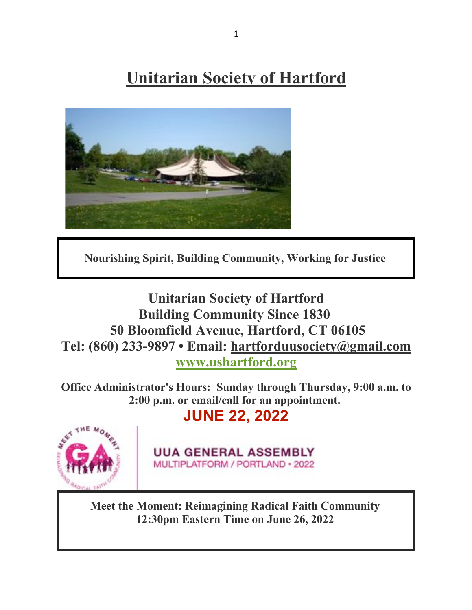**Unitarian Society of Hartford**



**Nourishing Spirit, Building Community, Working for Justice**

**Unitarian Society of Hartford Building Community Since 1830 50 Bloomfield Avenue, Hartford, CT 06105 Tel: (860) 233-9897 • Email: hartforduusociety@gmail.com www.ushartford.org**

**Office Administrator's Hours: Sunday through Thursday, 9:00 a.m. to 2:00 p.m. or email/call for an appointment.**

**JUNE 22, 2022**



**UUA GENERAL ASSEMBLY** MULTIPLATFORM / PORTLAND · 2022

**Meet the Moment: Reimagining Radical Faith Community 12:30pm Eastern Time on June 26, 2022**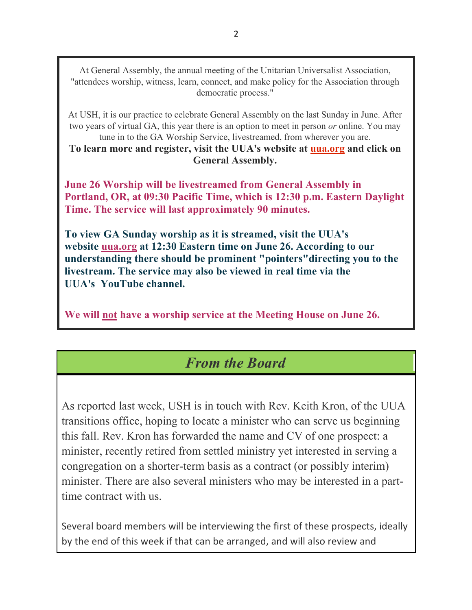At General Assembly, the annual meeting of the Unitarian Universalist Association, "attendees worship, witness, learn, connect, and make policy for the Association through democratic process."

At USH, it is our practice to celebrate General Assembly on the last Sunday in June. After two years of virtual GA, this year there is an option to meet in person *or* online. You may tune in to the GA Worship Service, livestreamed, from wherever you are.

**To learn more and register, visit the UUA's website at uua.org and click on General Assembly.**

**June 26 Worship will be livestreamed from General Assembly in Portland, OR, at 09:30 Pacific Time, which is 12:30 p.m. Eastern Daylight Time. The service will last approximately 90 minutes.**

**To view GA Sunday worship as it is streamed, visit the UUA's website uua.org at 12:30 Eastern time on June 26. According to our understanding there should be prominent "pointers"directing you to the livestream. The service may also be viewed in real time via the UUA's YouTube channel.**

**We will not have a worship service at the Meeting House on June 26.**

### *From the Board*

As reported last week, USH is in touch with Rev. Keith Kron, of the UUA transitions office, hoping to locate a minister who can serve us beginning this fall. Rev. Kron has forwarded the name and CV of one prospect: a minister, recently retired from settled ministry yet interested in serving a congregation on a shorter-term basis as a contract (or possibly interim) minister. There are also several ministers who may be interested in a parttime contract with us.

Several board members will be interviewing the first of these prospects, ideally by the end of this week if that can be arranged, and will also review and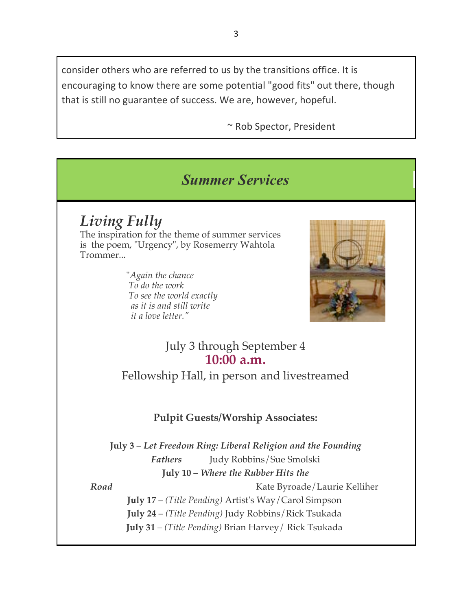consider others who are referred to us by the transitions office. It is encouraging to know there are some potential "good fits" out there, though that is still no guarantee of success. We are, however, hopeful.

~ Rob Spector, President

# *Summer Services*

*Living Fully* The inspiration for the theme of summer services is the poem, "Urgency", by Rosemerry Wahtola Trommer...

> "*Again the chance To do the work To see the world exactly as it is and still write it a love letter."*



July 3 through September 4 **10:00 a.m.**

Fellowship Hall, in person and livestreamed

### **Pulpit Guests/Worship Associates:**

**July 3** – *Let Freedom Ring: Liberal Religion and the Founding Fathers* Judy Robbins/Sue Smolski **July 10** – *Where the Rubber Hits the* 

*Road* Kate Byroade/Laurie Kelliher **July 17** – *(Title Pending)* Artist's Way/Carol Simpson **July 24** – *(Title Pending)* Judy Robbins/Rick Tsukada **July 31** – *(Title Pending)* Brian Harvey/ Rick Tsukada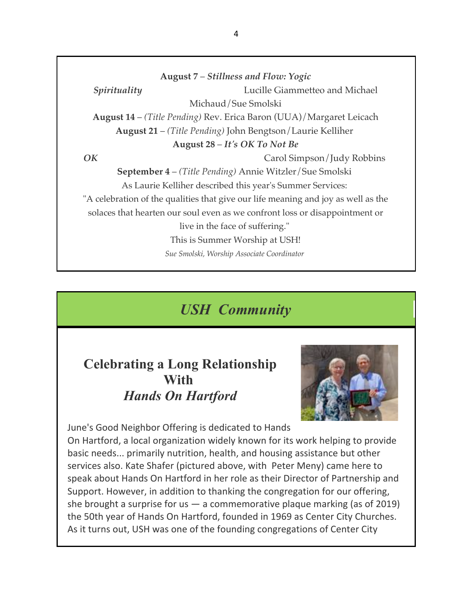**August 7** – *Stillness and Flow: Yogic Spirituality* Lucille Giammetteo and Michael Michaud/Sue Smolski **August 14** – *(Title Pending)* Rev. Erica Baron (UUA)/Margaret Leicach **August 21** – *(Title Pending)* John Bengtson/Laurie Kelliher **August 28** – *It's OK To Not Be OK* Carol Simpson/Judy Robbins **September 4** – *(Title Pending)* Annie Witzler/Sue Smolski As Laurie Kelliher described this year's Summer Services: "A celebration of the qualities that give our life meaning and joy as well as the solaces that hearten our soul even as we confront loss or disappointment or live in the face of suffering." This is Summer Worship at USH! *Sue Smolski, Worship Associate Coordinator*

# *USH Community*

### **Celebrating a Long Relationship With** *Hands On Hartford*



June's Good Neighbor Offering is dedicated to Hands On Hartford, a local organization widely known for its work helping to provide basic needs... primarily nutrition, health, and housing assistance but other services also. Kate Shafer (pictured above, with Peter Meny) came here to speak about Hands On Hartford in her role as their Director of Partnership and Support. However, in addition to thanking the congregation for our offering, she brought a surprise for us  $-$  a commemorative plaque marking (as of 2019) the 50th year of Hands On Hartford, founded in 1969 as Center City Churches. As it turns out, USH was one of the founding congregations of Center City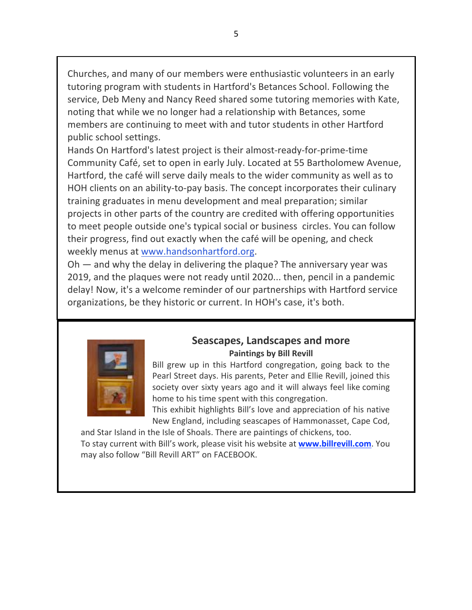Churches, and many of our members were enthusiastic volunteers in an early tutoring program with students in Hartford's Betances School. Following the service, Deb Meny and Nancy Reed shared some tutoring memories with Kate, noting that while we no longer had a relationship with Betances, some members are continuing to meet with and tutor students in other Hartford public school settings.

Hands On Hartford's latest project is their almost-ready-for-prime-time Community Café, set to open in early July. Located at 55 Bartholomew Avenue, Hartford, the café will serve daily meals to the wider community as well as to HOH clients on an ability-to-pay basis. The concept incorporates their culinary training graduates in menu development and meal preparation; similar projects in other parts of the country are credited with offering opportunities to meet people outside one's typical social or business circles. You can follow their progress, find out exactly when the café will be opening, and check weekly menus at www.handsonhartford.org.

Oh — and why the delay in delivering the plaque? The anniversary year was 2019, and the plaques were not ready until 2020... then, pencil in a pandemic delay! Now, it's a welcome reminder of our partnerships with Hartford service organizations, be they historic or current. In HOH's case, it's both.



#### **Seascapes, Landscapes and more Paintings by Bill Revill**

Bill grew up in this Hartford congregation, going back to the Pearl Street days. His parents, Peter and Ellie Revill, joined this society over sixty years ago and it will always feel like coming home to his time spent with this congregation.

This exhibit highlights Bill's love and appreciation of his native New England, including seascapes of Hammonasset, Cape Cod,

and Star Island in the Isle of Shoals. There are paintings of chickens, too. To stay current with Bill's work, please visit his website at **www.billrevill.com**. You may also follow "Bill Revill ART" on FACEBOOK.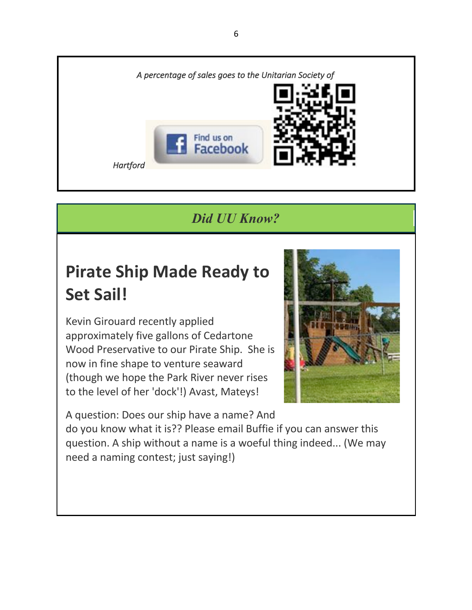

*Did UU Know?*

# **Pirate Ship Made Ready to Set Sail!**

Kevin Girouard recently applied approximately five gallons of Cedartone Wood Preservative to our Pirate Ship. She is now in fine shape to venture seaward (though we hope the Park River never rises to the level of her 'dock'!) Avast, Mateys!



A question: Does our ship have a name? And do you know what it is?? Please email Buffie if you can answer this question. A ship without a name is a woeful thing indeed... (We may need a naming contest; just saying!)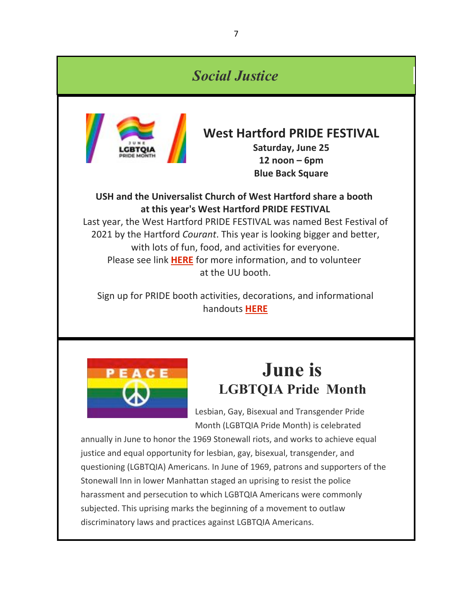### *Social Justice*



### **West Hartford PRIDE FESTIVAL**

**Saturday, June 25 12 noon – 6pm Blue Back Square**

#### **USH and the Universalist Church of West Hartford share a booth at this year's West Hartford PRIDE FESTIVAL**

Last year, the West Hartford PRIDE FESTIVAL was named Best Festival of 2021 by the Hartford *Courant*. This year is looking bigger and better, with lots of fun, food, and activities for everyone. Please see link **HERE** for more information, and to volunteer at the UU booth.

Sign up for PRIDE booth activities, decorations, and informational handouts **HERE**



# **June is LGBTQIA Pride Month**

Lesbian, Gay, Bisexual and Transgender Pride Month (LGBTQIA Pride Month) is celebrated

annually in June to honor the 1969 Stonewall riots, and works to achieve equal justice and equal opportunity for lesbian, gay, bisexual, transgender, and questioning (LGBTQIA) Americans. In June of 1969, patrons and supporters of the Stonewall Inn in lower Manhattan staged an uprising to resist the police harassment and persecution to which LGBTQIA Americans were commonly subjected. This uprising marks the beginning of a movement to outlaw discriminatory laws and practices against LGBTQIA Americans.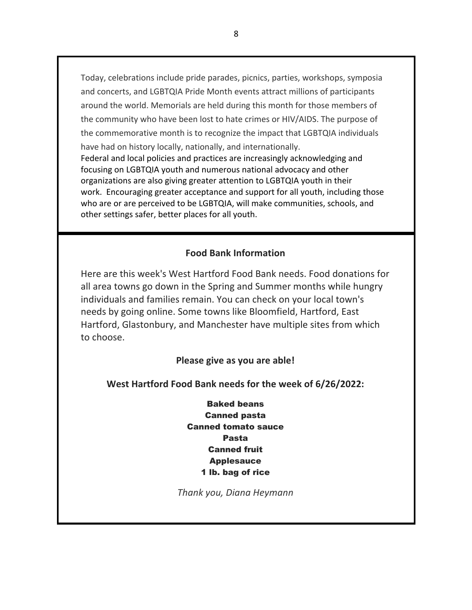Today, celebrations include pride parades, picnics, parties, workshops, symposia and concerts, and LGBTQIA Pride Month events attract millions of participants around the world. Memorials are held during this month for those members of the community who have been lost to hate crimes or HIV/AIDS. The purpose of the commemorative month is to recognize the impact that LGBTQIA individuals have had on history locally, nationally, and internationally. Federal and local policies and practices are increasingly acknowledging and focusing on LGBTQIA youth and numerous national advocacy and other organizations are also giving greater attention to LGBTQIA youth in their work. Encouraging greater acceptance and support for all youth, including those who are or are perceived to be LGBTQIA, will make communities, schools, and other settings safer, better places for all youth.

#### **Food Bank Information**

Here are this week's West Hartford Food Bank needs. Food donations for all area towns go down in the Spring and Summer months while hungry individuals and families remain. You can check on your local town's needs by going online. Some towns like Bloomfield, Hartford, East Hartford, Glastonbury, and Manchester have multiple sites from which to choose.

#### **Please give as you are able!**

**West Hartford Food Bank needs for the week of 6/26/2022:**

Baked beans Canned pasta Canned tomato sauce Pasta Canned fruit Applesauce 1 lb. bag of rice

*Thank you, Diana Heymann*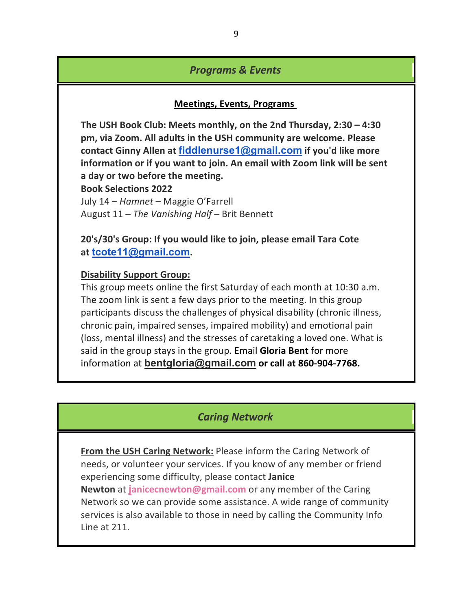#### *Programs & Events*

#### **Meetings, Events, Programs**

**The USH Book Club: Meets monthly, on the 2nd Thursday, 2:30 – 4:30 pm, via Zoom. All adults in the USH community are welcome. Please contact Ginny Allen at fiddlenurse1@gmail.com if you'd like more information or if you want to join. An email with Zoom link will be sent a day or two before the meeting.**

**Book Selections 2022**

July 14 – *Hamnet* – Maggie O'Farrell August 11 – *The Vanishing Half* – Brit Bennett

**20's/30's Group: If you would like to join, please email Tara Cote at tcote11@gmail.com.**

#### **Disability Support Group:**

This group meets online the first Saturday of each month at 10:30 a.m. The zoom link is sent a few days prior to the meeting. In this group participants discuss the challenges of physical disability (chronic illness, chronic pain, impaired senses, impaired mobility) and emotional pain (loss, mental illness) and the stresses of caretaking a loved one. What is said in the group stays in the group. Email **Gloria Bent** for more information at **bentgloria@gmail.com or call at 860-904-7768.**

#### *Caring Network*

**From the USH Caring Network:** Please inform the Caring Network of needs, or volunteer your services. If you know of any member or friend experiencing some difficulty, please contact **Janice Newton** at **janicecnewton@gmail.com** or any member of the Caring Network so we can provide some assistance. A wide range of community services is also available to those in need by calling the Community Info Line at 211.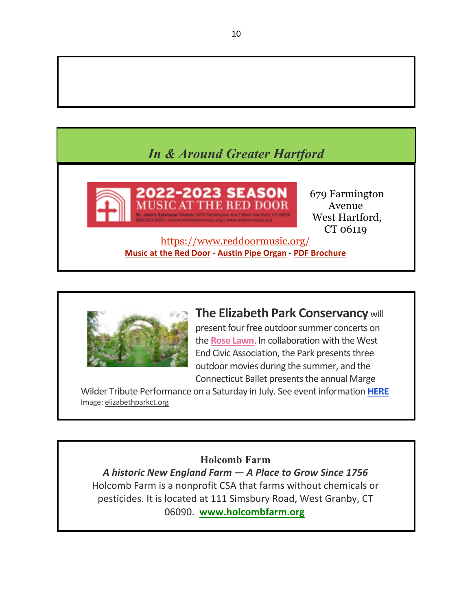# *In & Around Greater Hartford*



679 Farmington Avenue West Hartford, CT 06119

https://www.reddoormusic.org/ **Music at the Red Door - Austin Pipe Organ - PDF Brochure**



### **The Elizabeth Park Conservancy** will

present four free outdoor summer concerts on the **Rose Lawn**. In collaboration with the West End Civic Association, the Park presents three outdoor movies during the summer, and the Connecticut Ballet presents the annual Marge

Wilder Tribute Performance on a Saturday in July. See event information **HERE** Image: elizabethparkct.org

#### **Holcomb Farm**

*A historic New England Farm — A Place to Grow Since 1756* Holcomb Farm is a nonprofit CSA that farms without chemicals or pesticides. It is located at 111 Simsbury Road, West Granby, CT 06090. **www.holcombfarm.org**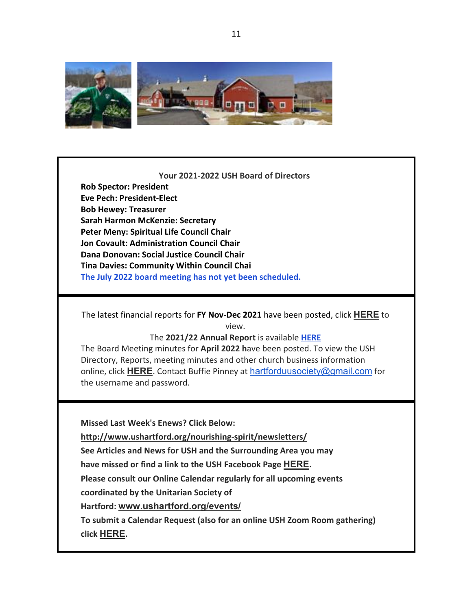

#### **Your 2021-2022 USH Board of Directors**

**Rob Spector: President Eve Pech: President-Elect Bob Hewey: Treasurer Sarah Harmon McKenzie: Secretary Peter Meny: Spiritual Life Council Chair Jon Covault: Administration Council Chair Dana Donovan: Social Justice Council Chair Tina Davies: Community Within Council Chai The July 2022 board meeting has not yet been scheduled.**

The latest financial reports for **FY Nov-Dec 2021** have been posted, click **HERE** to view.

#### The **2021/22 Annual Report** is available **HERE**

The Board Meeting minutes for **April 2022 h**ave been posted. To view the USH Directory, Reports, meeting minutes and other church business information online, click **HERE**. Contact Buffie Pinney at hartforduusociety@gmail.com for the username and password.

**Missed Last Week's Enews? Click Below:**

**http://www.ushartford.org/nourishing-spirit/newsletters/**

**See Articles and News for USH and the Surrounding Area you may**

**have missed or find a link to the USH Facebook Page HERE.**

**Please consult our Online Calendar regularly for all upcoming events** 

**coordinated by the Unitarian Society of** 

**Hartford: www.ushartford.org/events/**

**To submit a Calendar Request (also for an online USH Zoom Room gathering) click HERE.**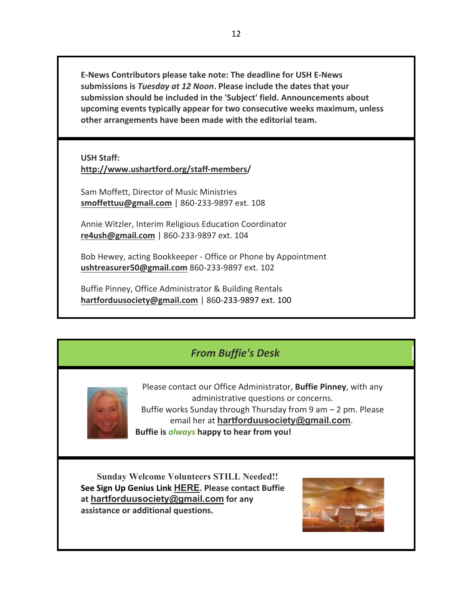**E-News Contributors please take note: The deadline for USH E-News submissions is** *Tuesday at 12 Noon***. Please include the dates that your submission should be included in the 'Subject' field. Announcements about upcoming events typically appear for two consecutive weeks maximum, unless other arrangements have been made with the editorial team.**

**USH Staff: http://www.ushartford.org/staff-members/**

Sam Moffett, Director of Music Ministries **smoffettuu@gmail.com** | 860-233-9897 ext. 108

Annie Witzler, Interim Religious Education Coordinator **re4ush@gmail.com** | 860-233-9897 ext. 104

Bob Hewey, acting Bookkeeper - Office or Phone by Appointment **ushtreasurer50@gmail.com** 860-233-9897 ext. 102

Buffie Pinney, Office Administrator & Building Rentals **hartforduusociety@gmail.com** | 860-233-9897 ext. 100

### *From Buffie's Desk*



Please contact our Office Administrator, **Buffie Pinney**, with any administrative questions or concerns. Buffie works Sunday through Thursday from 9 am – 2 pm. Please email her at **hartforduusociety@gmail.com**. **Buffie is** *always* **happy to hear from you!**

**Sunday Welcome Volunteers STILL Needed!! See Sign Up Genius Link HERE. Please contact Buffie at hartforduusociety@gmail.com for any assistance or additional questions.**